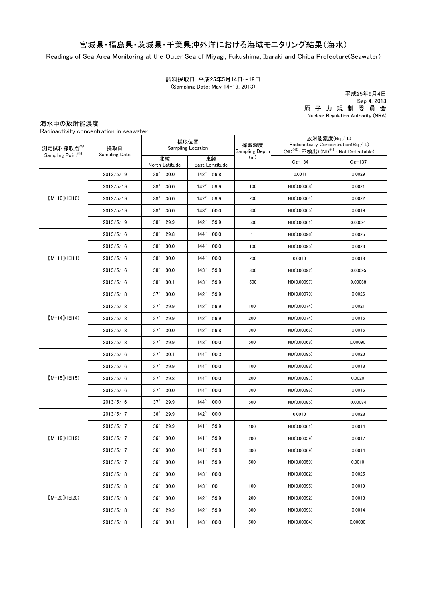## 宮城県・福島県・茨城県・千葉県沖外洋における海域モニタリング結果(海水)

Readings of Sea Area Monitoring at the Outer Sea of Miyagi, Fukushima, Ibaraki and Chiba Prefecture(Seawater)

試料採取日:平成25年5月14日~19日 (Sampling Date:May 14-19, 2013)

原 子 力 規 制 委 員 会 Nuclear Regulation Authority (NRA) 平成25年9月4日 Sep 4, 2013

海水中の放射能濃度

Radioactivity concentration in seawater

| 測定試料採取点※1<br>Sampling Point <sup>※1</sup> | 採取日<br><b>Sampling Date</b> | 採取位置<br>Sampling Location |                       | 採取深度<br>Sampling Depth | 放射能濃度(Bq / L)<br>Radioactivity Concentration(Bq / L)<br>(ND <sup>※2</sup> : 不検出) (ND <sup>※2</sup> : Not Detectable) |            |
|-------------------------------------------|-----------------------------|---------------------------|-----------------------|------------------------|----------------------------------------------------------------------------------------------------------------------|------------|
|                                           |                             | 北緯<br>North Latitude      | 東経<br>East Longitude  | (m)                    | $Cs - 134$                                                                                                           | $Cs - 137$ |
| $[M-10](H10)$                             | 2013/5/19                   | $38^\circ$<br>30.0        | $142^{\circ}$<br>59.8 | $\mathbf{1}$           | 0.0011                                                                                                               | 0.0029     |
|                                           | 2013/5/19                   | $38^\circ$<br>30.0        | $142^\circ$<br>59.9   | 100                    | ND(0.00068)                                                                                                          | 0.0021     |
|                                           | 2013/5/19                   | $38^\circ$<br>30.0        | $142^\circ$<br>59.9   | 200                    | ND(0.00064)                                                                                                          | 0.0022     |
|                                           | 2013/5/19                   | $38^\circ$<br>30.0        | $143^\circ$<br>00.0   | 300                    | ND(0.00065)                                                                                                          | 0.0019     |
|                                           | 2013/5/19                   | $38^\circ$<br>29.9        | $142^\circ$<br>59.9   | 500                    | ND(0.00061)                                                                                                          | 0.00091    |
| $[M-11]$ ( $[H11]$                        | 2013/5/16                   | $38^\circ$<br>29.8        | $144^\circ$<br>00.0   | $\mathbf{1}$           | ND(0.00096)                                                                                                          | 0.0025     |
|                                           | 2013/5/16                   | $38^\circ$<br>30.0        | $144^\circ$<br>00.0   | 100                    | ND(0.00095)                                                                                                          | 0.0023     |
|                                           | 2013/5/16                   | $38^\circ$<br>30.0        | $144^\circ$<br>00.0   | 200                    | 0.0010                                                                                                               | 0.0018     |
|                                           | 2013/5/16                   | $38^\circ$<br>30.0        | $143^\circ$<br>59.8   | 300                    | ND(0.00092)                                                                                                          | 0.00095    |
|                                           | 2013/5/16                   | $38^\circ$<br>30.1        | $143^\circ$<br>59.9   | 500                    | ND(0.00097)                                                                                                          | 0.00068    |
|                                           | 2013/5/18                   | $37^\circ$<br>30.0        | $142^\circ$<br>59.9   | $\mathbf{1}$           | ND(0.00079)                                                                                                          | 0.0026     |
| $[M-14]( H14)$                            | 2013/5/18                   | $37^\circ$<br>29.9        | $142^\circ$<br>59.9   | 100                    | ND(0.00074)                                                                                                          | 0.0021     |
|                                           | 2013/5/18                   | $37^\circ$<br>29.9        | $142^\circ$<br>59.9   | 200                    | ND(0.00074)                                                                                                          | 0.0015     |
|                                           | 2013/5/18                   | $37^\circ$<br>30.0        | $142^\circ$<br>59.8   | 300                    | ND(0.00066)                                                                                                          | 0.0015     |
|                                           | 2013/5/18                   | $37^\circ$<br>29.9        | $143^\circ$<br>00.0   | 500                    | ND(0.00068)                                                                                                          | 0.00090    |
| $[M-15](H15)$                             | 2013/5/16                   | $37^\circ$<br>30.1        | $144^\circ$<br>00.3   | $\mathbf{1}$           | ND(0.00095)                                                                                                          | 0.0023     |
|                                           | 2013/5/16                   | $37^\circ$<br>29.9        | $144^\circ$<br>00.0   | 100                    | ND(0.00088)                                                                                                          | 0.0018     |
|                                           | 2013/5/16                   | $37^\circ$<br>29.8        | $144^\circ$<br>00.0   | 200                    | ND(0.00097)                                                                                                          | 0.0020     |
|                                           | 2013/5/16                   | $37^\circ$<br>30.0        | $144^\circ$<br>00.0   | 300                    | ND(0.00096)                                                                                                          | 0.0016     |
|                                           | 2013/5/16                   | $37^\circ$<br>29.9        | $144^\circ$<br>00.0   | 500                    | ND(0.00085)                                                                                                          | 0.00084    |
| $[M-19](H19)$                             | 2013/5/17                   | $36^\circ$<br>29.9        | $142^\circ$<br>00.0   | $\mathbf{1}$           | 0.0010                                                                                                               | 0.0028     |
|                                           | 2013/5/17                   | $36^\circ$<br>29.9        | $141^\circ$<br>59.9   | 100                    | ND(0.00061)                                                                                                          | 0.0014     |
|                                           | 2013/5/17                   | $36^\circ$<br>30.0        | $141^\circ$<br>59.9   | 200                    | ND(0.00059)                                                                                                          | 0.0017     |
|                                           | 2013/5/17                   | $36^{\circ}$<br>30.0      | 141° 59.8             | 300                    | ND(0.00069)                                                                                                          | 0.0014     |
|                                           | 2013/5/17                   | $36^\circ$<br>30.0        | 141° 59.9             | 500                    | ND(0.00059)                                                                                                          | 0.0010     |
| $[M-20](H20)$                             | 2013/5/18                   | $36^\circ$<br>30.0        | $143^\circ$<br>00.0   | $\mathbf{1}$           | ND(0.00082)                                                                                                          | 0.0025     |
|                                           | 2013/5/18                   | $36^\circ$<br>30.0        | $143^\circ$<br>00.1   | 100                    | ND(0.00095)                                                                                                          | 0.0019     |
|                                           | 2013/5/18                   | $36^\circ$<br>30.0        | $142^{\circ}$<br>59.9 | 200                    | ND(0.00092)                                                                                                          | 0.0018     |
|                                           | 2013/5/18                   | $36^\circ$<br>29.9        | $142^\circ$<br>59.9   | 300                    | ND(0.00096)                                                                                                          | 0.0014     |
|                                           | 2013/5/18                   | $36^\circ$<br>30.1        | 143° 00.0             | 500                    | ND(0.00084)                                                                                                          | 0.00080    |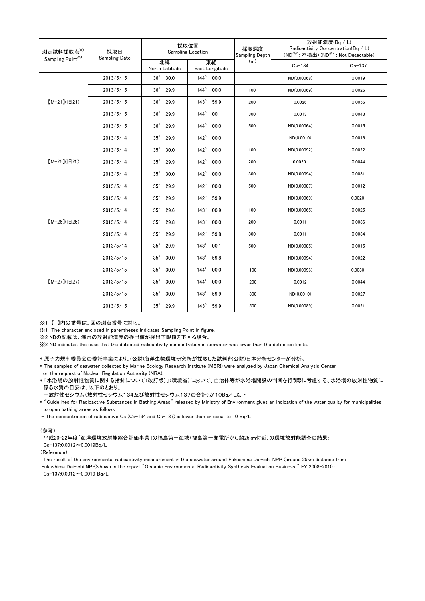| 測定試料採取点※1<br>Sampling Point <sup>※1</sup> | 採取日<br><b>Sampling Date</b> | 採取位置<br>Sampling Location |                       | 採取深度<br><b>Sampling Depth</b> | 放射能濃度(Bq / L)<br>Radioactivity Concentration(Bq / L)<br>(ND <sup>※2</sup> : 不検出) (ND <sup>※2</sup> : Not Detectable) |            |
|-------------------------------------------|-----------------------------|---------------------------|-----------------------|-------------------------------|----------------------------------------------------------------------------------------------------------------------|------------|
|                                           |                             | 北緯<br>North Latitude      | 東経<br>East Longitude  | (m)                           | $Cs - 134$                                                                                                           | $Cs - 137$ |
| $[M-21](H21)$                             | 2013/5/15                   | $36^{\circ}$<br>30.0      | 144° 00.0             | $\overline{1}$                | ND(0.00068)                                                                                                          | 0.0019     |
|                                           | 2013/5/15                   | $36^\circ$<br>29.9        | 144° 00.0             | 100                           | ND(0.00069)                                                                                                          | 0.0026     |
|                                           | 2013/5/15                   | $36^\circ$<br>29.9        | $143^\circ$<br>59.9   | 200                           | 0.0026                                                                                                               | 0.0056     |
|                                           | 2013/5/15                   | $36^\circ$<br>29.9        | $144^\circ$<br>00.1   | 300                           | 0.0013                                                                                                               | 0.0043     |
|                                           | 2013/5/15                   | $36^\circ$<br>29.9        | 144° 00.0             | 500                           | ND(0.00064)                                                                                                          | 0.0015     |
| $[M-25](IB25)$                            | 2013/5/14                   | $35^\circ$<br>29.9        | $142^\circ$<br>00.0   | $\mathbf{1}$                  | ND(0.0010)                                                                                                           | 0.0016     |
|                                           | 2013/5/14                   | $35^\circ$<br>30.0        | $142^{\circ}$<br>00.0 | 100                           | ND(0.00092)                                                                                                          | 0.0022     |
|                                           | 2013/5/14                   | $35^\circ$<br>29.9        | $142^\circ$<br>00.0   | 200                           | 0.0020                                                                                                               | 0.0044     |
|                                           | 2013/5/14                   | $35^\circ$<br>30.0        | $142^\circ$<br>00.0   | 300                           | ND(0.00094)                                                                                                          | 0.0031     |
|                                           | 2013/5/14                   | $35^\circ$<br>29.9        | $142^\circ$<br>00.0   | 500                           | ND(0.00087)                                                                                                          | 0.0012     |
| $[M-26](H26)$                             | 2013/5/14                   | $35^\circ$<br>29.9        | $142^\circ$<br>59.9   | $\mathbf{1}$                  | ND(0.00069)                                                                                                          | 0.0020     |
|                                           | 2013/5/14                   | $35^\circ$<br>29.6        | 143° 00.9             | 100                           | ND(0.00065)                                                                                                          | 0.0025     |
|                                           | 2013/5/14                   | $35^\circ$<br>29.8        | $143^\circ$<br>00.0   | 200                           | 0.0011                                                                                                               | 0.0036     |
|                                           | 2013/5/14                   | $35^\circ$<br>29.9        | $142^\circ$<br>59.8   | 300                           | 0.0011                                                                                                               | 0.0034     |
|                                           | 2013/5/14                   | $35^\circ$<br>29.9        | 143° 00.1             | 500                           | ND(0.00085)                                                                                                          | 0.0015     |
| $[M-27]( B27)$                            | 2013/5/15                   | $35^\circ$<br>30.0        | $143^\circ$<br>59.8   | $\mathbf{1}$                  | ND(0.00094)                                                                                                          | 0.0022     |
|                                           | 2013/5/15                   | $35^\circ$<br>30.0        | $144^\circ$<br>00.0   | 100                           | ND(0.00096)                                                                                                          | 0.0030     |
|                                           | 2013/5/15                   | $35^\circ$<br>30.0        | $144^\circ$<br>00.0   | 200                           | 0.0012                                                                                                               | 0.0044     |
|                                           | 2013/5/15                   | $35^\circ$<br>30.0        | $143^\circ$<br>59.9   | 300                           | ND(0.0010)                                                                                                           | 0.0027     |
|                                           | 2013/5/15                   | $35^\circ$<br>29.9        | 143° 59.9             | 500                           | ND(0.00089)                                                                                                          | 0.0021     |

※1 【 】内の番号は、図の測点番号に対応。

※1 The character enclosed in parentheses indicates Sampling Point in figure.

※2 NDの記載は、海水の放射能濃度の検出値が検出下限値を下回る場合。

※2 ND indicates the case that the detected radioactivity concentration in seawater was lower than the detection limits.

\* 原子力規制委員会の委託事業により、(公財)海洋生物環境研究所が採取した試料を(公財)日本分析センターが分析。

\* The samples of seawater collected by Marine Ecology Research Institute (MERI) were analyzed by Japan Chemical Analysis Center on the request of Nuclear Regulation Authority (NRA).

\* 「水浴場の放射性物質に関する指針について(改訂版)」(環境省)において、自治体等が水浴場開設の判断を行う際に考慮する、水浴場の放射性物質に 係る水質の目安は、以下のとおり。

-放射性セシウム(放射性セシウム134及び放射性セシウム137の合計)が10Bq/L以下

\* "Guidelines for Radioactive Substances in Bathing Areas" released by Ministry of Environment gives an indication of the water quality for municipalities to open bathing areas as follows :

- The concentration of radioactive Cs (Cs-134 and Cs-137) is lower than or equal to 10 Bq/L

(参考)

平成20-22年度「海洋環境放射能総合評価事業」の福島第一海域(福島第一発電所から約25km付近)の環境放射能調査の結果: Cs-137:0.0012~0.0019Bq/L

(Reference)

The result of the environmental radioactivity measurement in the seawater around Fukushima Dai-ichi NPP (around 25km distance from Fukushima Dai-ichi NPP)shown in the report "Oceanic Environmental Radioactivity Synthesis Evaluation Business " FY 2008-2010 : Cs-137:0.0012~0.0019 Bq/L